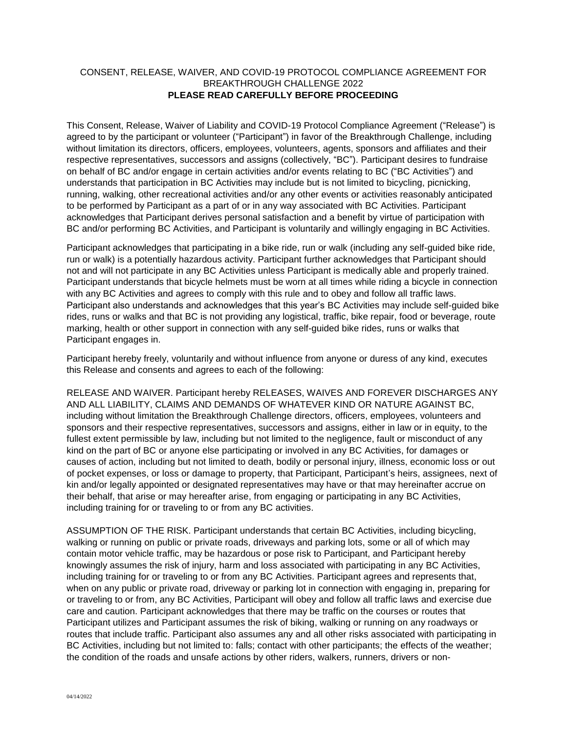## CONSENT, RELEASE, WAIVER, AND COVID-19 PROTOCOL COMPLIANCE AGREEMENT FOR BREAKTHROUGH CHALLENGE 2022 **PLEASE READ CAREFULLY BEFORE PROCEEDING**

This Consent, Release, Waiver of Liability and COVID-19 Protocol Compliance Agreement ("Release") is agreed to by the participant or volunteer ("Participant") in favor of the Breakthrough Challenge, including without limitation its directors, officers, employees, volunteers, agents, sponsors and affiliates and their respective representatives, successors and assigns (collectively, "BC"). Participant desires to fundraise on behalf of BC and/or engage in certain activities and/or events relating to BC ("BC Activities") and understands that participation in BC Activities may include but is not limited to bicycling, picnicking, running, walking, other recreational activities and/or any other events or activities reasonably anticipated to be performed by Participant as a part of or in any way associated with BC Activities. Participant acknowledges that Participant derives personal satisfaction and a benefit by virtue of participation with BC and/or performing BC Activities, and Participant is voluntarily and willingly engaging in BC Activities.

Participant acknowledges that participating in a bike ride, run or walk (including any self-guided bike ride, run or walk) is a potentially hazardous activity. Participant further acknowledges that Participant should not and will not participate in any BC Activities unless Participant is medically able and properly trained. Participant understands that bicycle helmets must be worn at all times while riding a bicycle in connection with any BC Activities and agrees to comply with this rule and to obey and follow all traffic laws. Participant also understands and acknowledges that this year's BC Activities may include self-guided bike rides, runs or walks and that BC is not providing any logistical, traffic, bike repair, food or beverage, route marking, health or other support in connection with any self-guided bike rides, runs or walks that Participant engages in.

Participant hereby freely, voluntarily and without influence from anyone or duress of any kind, executes this Release and consents and agrees to each of the following:

RELEASE AND WAIVER. Participant hereby RELEASES, WAIVES AND FOREVER DISCHARGES ANY AND ALL LIABILITY, CLAIMS AND DEMANDS OF WHATEVER KIND OR NATURE AGAINST BC, including without limitation the Breakthrough Challenge directors, officers, employees, volunteers and sponsors and their respective representatives, successors and assigns, either in law or in equity, to the fullest extent permissible by law, including but not limited to the negligence, fault or misconduct of any kind on the part of BC or anyone else participating or involved in any BC Activities, for damages or causes of action, including but not limited to death, bodily or personal injury, illness, economic loss or out of pocket expenses, or loss or damage to property, that Participant, Participant's heirs, assignees, next of kin and/or legally appointed or designated representatives may have or that may hereinafter accrue on their behalf, that arise or may hereafter arise, from engaging or participating in any BC Activities, including training for or traveling to or from any BC activities.

ASSUMPTION OF THE RISK. Participant understands that certain BC Activities, including bicycling, walking or running on public or private roads, driveways and parking lots, some or all of which may contain motor vehicle traffic, may be hazardous or pose risk to Participant, and Participant hereby knowingly assumes the risk of injury, harm and loss associated with participating in any BC Activities, including training for or traveling to or from any BC Activities. Participant agrees and represents that, when on any public or private road, driveway or parking lot in connection with engaging in, preparing for or traveling to or from, any BC Activities, Participant will obey and follow all traffic laws and exercise due care and caution. Participant acknowledges that there may be traffic on the courses or routes that Participant utilizes and Participant assumes the risk of biking, walking or running on any roadways or routes that include traffic. Participant also assumes any and all other risks associated with participating in BC Activities, including but not limited to: falls; contact with other participants; the effects of the weather; the condition of the roads and unsafe actions by other riders, walkers, runners, drivers or non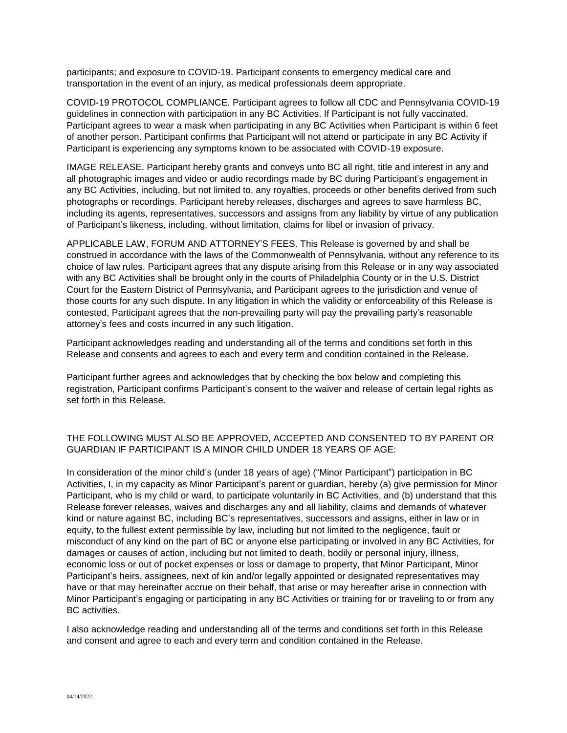participants; and exposure to COVID-19. Participant consents to emergency medical care and transportation in the event of an injury, as medical professionals deem appropriate.

COVID-19 PROTOCOL COMPLIANCE. Participant agrees to follow all CDC and Pennsylvania COVID-19 guidelines in connection with participation in any BC Activities. If Participant is not fully vaccinated, Participant agrees to wear a mask when participating in any BC Activities when Participant is within 6 feet of another person. Participant confirms that Participant will not attend or participate in any BC Activity if Participant is experiencing any symptoms known to be associated with COVID-19 exposure.

IMAGE RELEASE. Participant hereby grants and conveys unto BC all right, title and interest in any and all photographic images and video or audio recordings made by BC during Participant's engagement in any BC Activities, including, but not limited to, any royalties, proceeds or other benefits derived from such photographs or recordings. Participant hereby releases, discharges and agrees to save harmless BC, including its agents, representatives, successors and assigns from any liability by virtue of any publication of Participant's likeness, including, without limitation, claims for libel or invasion of privacy.

APPLICABLE LAW, FORUM AND ATTORNEY'S FEES. This Release is governed by and shall be construed in accordance with the laws of the Commonwealth of Pennsylvania, without any reference to its choice of law rules. Participant agrees that any dispute arising from this Release or in any way associated with any BC Activities shall be brought only in the courts of Philadelphia County or in the U.S. District Court for the Eastern District of Pennsylvania, and Participant agrees to the jurisdiction and venue of those courts for any such dispute. In any litigation in which the validity or enforceability of this Release is contested, Participant agrees that the non-prevailing party will pay the prevailing party's reasonable attorney's fees and costs incurred in any such litigation.

Participant acknowledges reading and understanding all of the terms and conditions set forth in this Release and consents and agrees to each and every term and condition contained in the Release.

Participant further agrees and acknowledges that by checking the box below and completing this registration, Participant confirms Participant's consent to the waiver and release of certain legal rights as set forth in this Release.

## THE FOLLOWING MUST ALSO BE APPROVED, ACCEPTED AND CONSENTED TO BY PARENT OR GUARDIAN IF PARTICIPANT IS A MINOR CHILD UNDER 18 YEARS OF AGE:

In consideration of the minor child's (under 18 years of age) ("Minor Participant") participation in BC Activities, I, in my capacity as Minor Participant's parent or guardian, hereby (a) give permission for Minor Participant, who is my child or ward, to participate voluntarily in BC Activities, and (b) understand that this Release forever releases, waives and discharges any and all liability, claims and demands of whatever kind or nature against BC, including BC's representatives, successors and assigns, either in law or in equity, to the fullest extent permissible by law, including but not limited to the negligence, fault or misconduct of any kind on the part of BC or anyone else participating or involved in any BC Activities, for damages or causes of action, including but not limited to death, bodily or personal injury, illness, economic loss or out of pocket expenses or loss or damage to property, that Minor Participant, Minor Participant's heirs, assignees, next of kin and/or legally appointed or designated representatives may have or that may hereinafter accrue on their behalf, that arise or may hereafter arise in connection with Minor Participant's engaging or participating in any BC Activities or training for or traveling to or from any BC activities.

I also acknowledge reading and understanding all of the terms and conditions set forth in this Release and consent and agree to each and every term and condition contained in the Release.